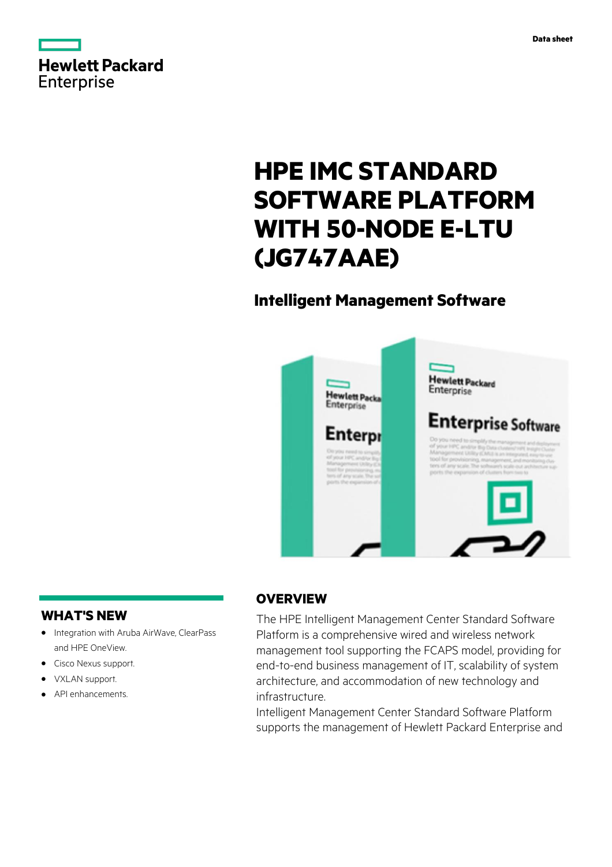

# **HPE IMC STANDARD SOFTWARE PLATFORM WITH 50-NODE E-LTU (JG747AAE)**

## **Intelligent Management Software**



### **WHAT'S NEW**

- **·** Integration with Aruba AirWave, ClearPass and HPE OneView.
- **·** Cisco Nexus support.
- **·** VXLAN support.
- **·** API enhancements.

### **OVERVIEW**

The HPE Intelligent Management Center Standard Software Platform is a comprehensive wired and wireless network management tool supporting the FCAPS model, providing for end-to-end business management of IT, scalability of system architecture, and accommodation of new technology and infrastructure.

Intelligent Management Center Standard Software Platform supports the management of Hewlett Packard Enterprise and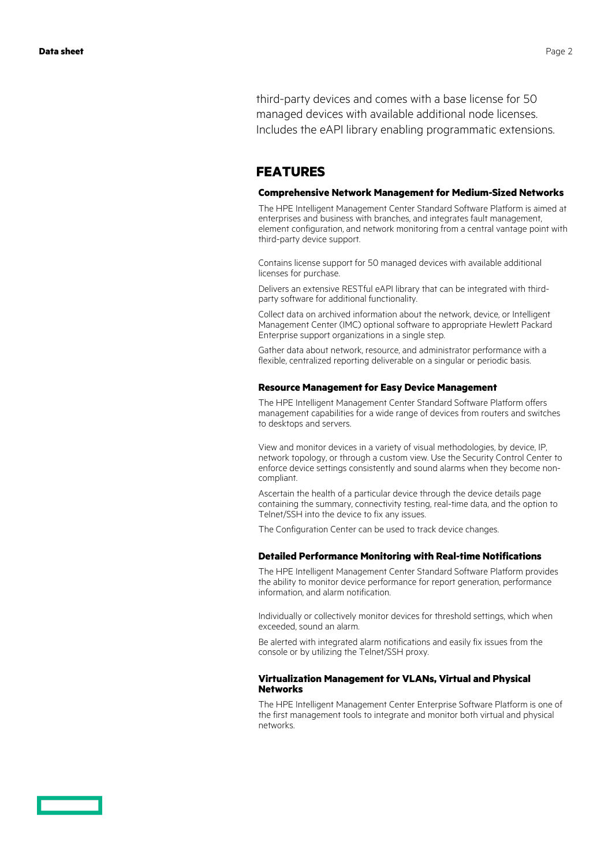third-party devices and comes with a base license for 50 managed devices with available additional node licenses. Includes the eAPI library enabling programmatic extensions.

### **FEATURES**

#### **Comprehensive Network Management for Medium-Sized Networks**

The HPE Intelligent Management Center Standard Software Platform is aimed at enterprises and business with branches, and integrates fault management, element configuration, and network monitoring from a central vantage point with third-party device support.

Contains license support for 50 managed devices with available additional licenses for purchase.

Delivers an extensive RESTful eAPI library that can be integrated with thirdparty software for additional functionality.

Collect data on archived information about the network, device, or Intelligent Management Center (IMC) optional software to appropriate Hewlett Packard Enterprise support organizations in a single step.

Gather data about network, resource, and administrator performance with a flexible, centralized reporting deliverable on a singular or periodic basis.

#### **Resource Management for Easy Device Management**

The HPE Intelligent Management Center Standard Software Platform offers management capabilities for a wide range of devices from routers and switches to desktops and servers.

View and monitor devices in a variety of visual methodologies, by device, IP, network topology, or through a custom view. Use the Security Control Center to enforce device settings consistently and sound alarms when they become noncompliant.

Ascertain the health of a particular device through the device details page containing the summary, connectivity testing, real-time data, and the option to Telnet/SSH into the device to fix any issues.

The Configuration Center can be used to track device changes.

#### **Detailed Performance Monitoring with Real-time Notifications**

The HPE Intelligent Management Center Standard Software Platform provides the ability to monitor device performance for report generation, performance information, and alarm notification.

Individually or collectively monitor devices for threshold settings, which when exceeded, sound an alarm.

Be alerted with integrated alarm notifications and easily fix issues from the console or by utilizing the Telnet/SSH proxy.

#### **Virtualization Management for VLANs, Virtual and Physical Networks**

The HPE Intelligent Management Center Enterprise Software Platform is one of the first management tools to integrate and monitor both virtual and physical networks.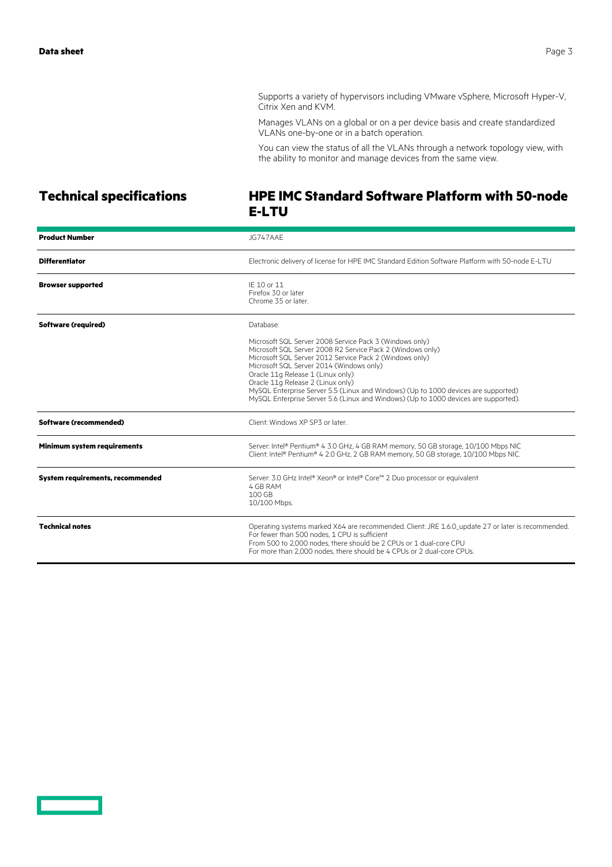Supports a variety of hypervisors including VMware vSphere, Microsoft Hyper-V, Citrix Xen and KVM.

Manages VLANs on a global or on a per device basis and create standardized VLANs one-by-one or in a batch operation.

You can view the status of all the VLANs through a network topology view, with the ability to monitor and manage devices from the same view.

### **Technical specifications HPE IMC Standard Software Platform with 50-node E-LTU**

| <b>Product Number</b>                   | JG747AAF                                                                                                                                                                                                                                                                                                                                                                                                                                                                            |
|-----------------------------------------|-------------------------------------------------------------------------------------------------------------------------------------------------------------------------------------------------------------------------------------------------------------------------------------------------------------------------------------------------------------------------------------------------------------------------------------------------------------------------------------|
| <b>Differentiator</b>                   | Electronic delivery of license for HPE IMC Standard Edition Software Platform with 50-node E-LTU                                                                                                                                                                                                                                                                                                                                                                                    |
| <b>Browser supported</b>                | IF 10 or 11<br>Firefox 30 or later<br>Chrome 35 or later.                                                                                                                                                                                                                                                                                                                                                                                                                           |
| <b>Software (required)</b>              | Database:                                                                                                                                                                                                                                                                                                                                                                                                                                                                           |
|                                         | Microsoft SQL Server 2008 Service Pack 3 (Windows only)<br>Microsoft SQL Server 2008 R2 Service Pack 2 (Windows only)<br>Microsoft SQL Server 2012 Service Pack 2 (Windows only)<br>Microsoft SQL Server 2014 (Windows only)<br>Oracle 11g Release 1 (Linux only)<br>Oracle 11g Release 2 (Linux only)<br>MySQL Enterprise Server 5.5 (Linux and Windows) (Up to 1000 devices are supported)<br>MySQL Enterprise Server 5.6 (Linux and Windows) (Up to 1000 devices are supported). |
| Software (recommended)                  | Client: Windows XP SP3 or later.                                                                                                                                                                                                                                                                                                                                                                                                                                                    |
| Minimum system requirements             | Server: Intel® Pentium® 4 3.0 GHz, 4 GB RAM memory, 50 GB storage, 10/100 Mbps NIC<br>Client: Intel® Pentium® 4 2.0 GHz, 2 GB RAM memory, 50 GB storage, 10/100 Mbps NIC.                                                                                                                                                                                                                                                                                                           |
| <b>System requirements, recommended</b> | Server: 3.0 GHz Intel® Xeon® or Intel® Core™ 2 Duo processor or equivalent<br>4 GB RAM<br>100 GB<br>10/100 Mbps.                                                                                                                                                                                                                                                                                                                                                                    |
| <b>Technical notes</b>                  | Operating systems marked X64 are recommended. Client: JRE 1.6.0_update 27 or later is recommended.<br>For fewer than 500 nodes, 1 CPU is sufficient<br>From 500 to 2.000 nodes, there should be 2 CPUs or 1 dual-core CPU<br>For more than 2,000 nodes, there should be 4 CPUs or 2 dual-core CPUs.                                                                                                                                                                                 |